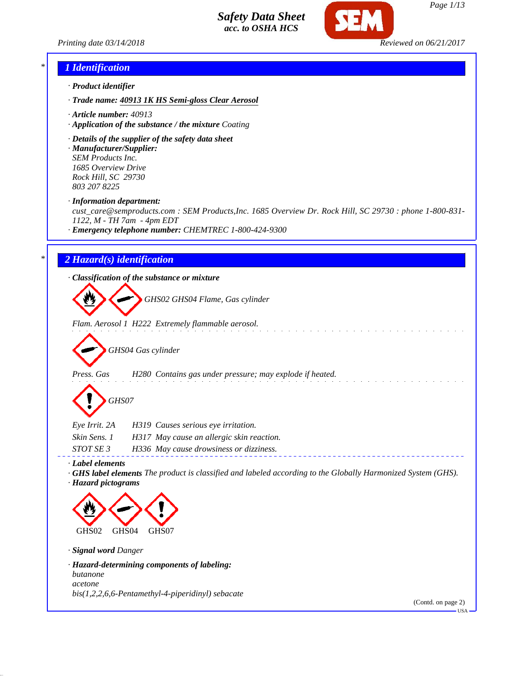



#### *\* 1 Identification*

- *· Product identifier*
- *· Trade name: 40913 1K HS Semi-gloss Clear Aerosol*
- *· Article number: 40913*
- *· Application of the substance / the mixture Coating*
- *· Details of the supplier of the safety data sheet*
- *· Manufacturer/Supplier: SEM Products Inc. 1685 Overview Drive Rock Hill, SC 29730 803 207 8225*

*· Information department:*

*cust\_care@semproducts.com : SEM Products,Inc. 1685 Overview Dr. Rock Hill, SC 29730 : phone 1-800-831- 1122, M - TH 7am - 4pm EDT*

*· Emergency telephone number: CHEMTREC 1-800-424-9300*

#### *\* 2 Hazard(s) identification*

*· Classification of the substance or mixture*

*GHS02 GHS04 Flame, Gas cylinder*

*Flam. Aerosol 1 H222 Extremely flammable aerosol.*

*GHS04 Gas cylinder*

*Press. Gas H280 Contains gas under pressure; may explode if heated.*

*GHS07*

| Eye Irrit. 2A    | H319 Causes serious eye irritation.       |
|------------------|-------------------------------------------|
| Skin Sens. 1     | H317 May cause an allergic skin reaction. |
| <i>STOT SE 3</i> | H336 May cause drowsiness or dizziness.   |

*· Label elements*

*· GHS label elements The product is classified and labeled according to the Globally Harmonized System (GHS). · Hazard pictograms*



*· Signal word Danger*

## *· Hazard-determining components of labeling: butanone acetone*

*bis(1,2,2,6,6-Pentamethyl-4-piperidinyl) sebacate*

(Contd. on page 2)

USA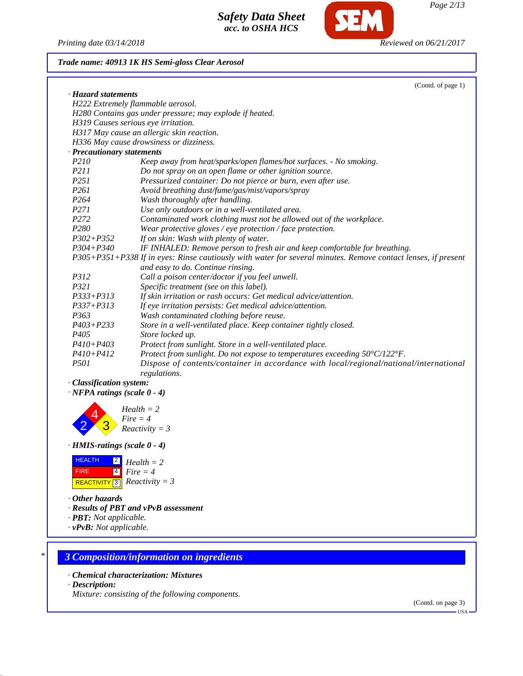*Printing date 03/14/2018 Reviewed on 06/21/2017*

**SEM** 

### *Trade name: 40913 1K HS Semi-gloss Clear Aerosol*

| · Hazard statements<br>H222 Extremely flammable aerosol.                                                                                           |  |
|----------------------------------------------------------------------------------------------------------------------------------------------------|--|
|                                                                                                                                                    |  |
|                                                                                                                                                    |  |
| H280 Contains gas under pressure; may explode if heated.                                                                                           |  |
| H319 Causes serious eye irritation.                                                                                                                |  |
| H317 May cause an allergic skin reaction.                                                                                                          |  |
| H336 May cause drowsiness or dizziness.                                                                                                            |  |
| · Precautionary statements                                                                                                                         |  |
| P210<br>Keep away from heat/sparks/open flames/hot surfaces. - No smoking.                                                                         |  |
| P211<br>Do not spray on an open flame or other ignition source.                                                                                    |  |
| P251<br>Pressurized container: Do not pierce or burn, even after use.                                                                              |  |
| P261<br>Avoid breathing dust/fume/gas/mist/vapors/spray                                                                                            |  |
| P264<br>Wash thoroughly after handling.                                                                                                            |  |
| P271<br>Use only outdoors or in a well-ventilated area.                                                                                            |  |
| P272<br>Contaminated work clothing must not be allowed out of the workplace.                                                                       |  |
| P <sub>280</sub><br>Wear protective gloves / eye protection / face protection.                                                                     |  |
| $P302 + P352$<br>If on skin: Wash with plenty of water.                                                                                            |  |
| IF INHALED: Remove person to fresh air and keep comfortable for breathing.<br>$P304 + P340$                                                        |  |
| P305+P351+P338 If in eyes: Rinse cautiously with water for several minutes. Remove contact lenses, if present<br>and easy to do. Continue rinsing. |  |
| P312<br>Call a poison center/doctor if you feel unwell.                                                                                            |  |
| P321<br>Specific treatment (see on this label).                                                                                                    |  |
| P333+P313<br>If skin irritation or rash occurs: Get medical advice/attention.                                                                      |  |
| $P337 + P313$<br>If eye irritation persists: Get medical advice/attention.                                                                         |  |
| P363<br>Wash contaminated clothing before reuse.                                                                                                   |  |
| $P403 + P233$<br>Store in a well-ventilated place. Keep container tightly closed.                                                                  |  |
| P <sub>405</sub><br>Store locked up.                                                                                                               |  |
| P410+P403<br>Protect from sunlight. Store in a well-ventilated place.                                                                              |  |
| $P410 + P412$<br>Protect from sunlight. Do not expose to temperatures exceeding $50^{\circ}C/122^{\circ}F$ .                                       |  |
| <i>P501</i><br>Dispose of contents/container in accordance with local/regional/national/international<br>regulations.                              |  |
| · Classification system:<br>$\cdot$ NFPA ratings (scale 0 - 4)                                                                                     |  |
| $Health = 2$<br>$Fire = 4$<br>$Reactivity = 3$<br>$\cdot$ HMIS-ratings (scale $0 - 4$ )                                                            |  |



*· Other hazards*

- *· Results of PBT and vPvB assessment*
- *· PBT: Not applicable.*
- *· vPvB: Not applicable.*

#### *\* 3 Composition/information on ingredients*

- *· Chemical characterization: Mixtures*
- *· Description:*

*Mixture: consisting of the following components.*

(Contd. on page 3)

USA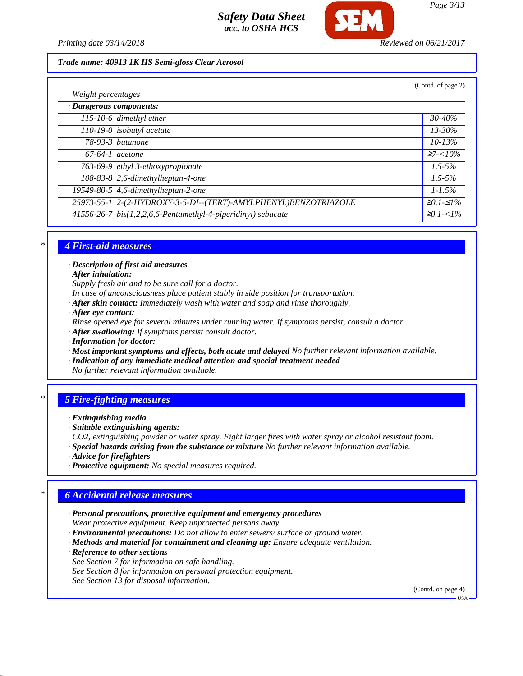

*Page 3/13*

*Printing date 03/14/2018 Reviewed on 06/21/2017*

#### *Trade name: 40913 1K HS Semi-gloss Clear Aerosol*

|                         |                                                                 | (Contd. of page 2) |
|-------------------------|-----------------------------------------------------------------|--------------------|
| Weight percentages      |                                                                 |                    |
| · Dangerous components: |                                                                 |                    |
|                         | $\overline{115}$ -10-6 dimethyl ether                           | $30 - 40\%$        |
|                         | 110-19-0 isobutyl acetate                                       | $13 - 30\%$        |
|                         | $78-93-3$ butanone                                              | $10 - 13\%$        |
| $67-64-1$ acetone       |                                                                 | $27 - 10\%$        |
|                         | 763-69-9 ethyl 3-ethoxypropionate                               | $1.5 - 5\%$        |
|                         | 108-83-8 2,6-dimethylheptan-4-one                               | $1.5 - 5\%$        |
|                         | 19549-80-5 $\vert$ 4,6-dimethylheptan-2-one                     | $1 - 1.5\%$        |
|                         | 25973-55-1 2-(2-HYDROXY-3-5-DI--(TERT)-AMYLPHENYL)BENZOTRIAZOLE | $≥0.1-S1%$         |
|                         | 41556-26-7 bis(1,2,2,6,6-Pentamethyl-4-piperidinyl) sebacate    | <i>≥0.1-&lt;1%</i> |

### *\* 4 First-aid measures*

*· Description of first aid measures*

*· After inhalation:*

*Supply fresh air and to be sure call for a doctor.*

- *In case of unconsciousness place patient stably in side position for transportation.*
- *· After skin contact: Immediately wash with water and soap and rinse thoroughly.*
- *· After eye contact:*
- *Rinse opened eye for several minutes under running water. If symptoms persist, consult a doctor.*

*· After swallowing: If symptoms persist consult doctor.*

- *· Information for doctor:*
- *· Most important symptoms and effects, both acute and delayed No further relevant information available.*
- *· Indication of any immediate medical attention and special treatment needed*

*No further relevant information available.*

## *\* 5 Fire-fighting measures*

- *· Extinguishing media*
- *· Suitable extinguishing agents:*
- *CO2, extinguishing powder or water spray. Fight larger fires with water spray or alcohol resistant foam.*
- *· Special hazards arising from the substance or mixture No further relevant information available.*
- *· Advice for firefighters*
- *· Protective equipment: No special measures required.*

## *\* 6 Accidental release measures*

- *· Personal precautions, protective equipment and emergency procedures Wear protective equipment. Keep unprotected persons away.*
- *· Environmental precautions: Do not allow to enter sewers/ surface or ground water.*
- *· Methods and material for containment and cleaning up: Ensure adequate ventilation.*

*· Reference to other sections*

- *See Section 7 for information on safe handling.*
- *See Section 8 for information on personal protection equipment.*
- *See Section 13 for disposal information.*

(Contd. on page 4)

USA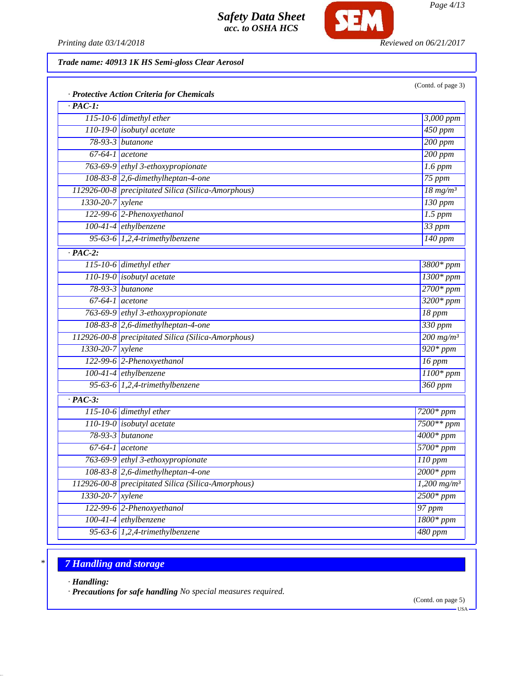

*Page 4/13*

*Printing date 03/14/2018 Reviewed on 06/21/2017*

*Trade name: 40913 1K HS Semi-gloss Clear Aerosol*

| $\cdot$ PAC-1:         | · Protective Action Criteria for Chemicals         |                             |
|------------------------|----------------------------------------------------|-----------------------------|
|                        | 115-10-6 dimethyl ether                            | 3,000 ppm                   |
|                        | 110-19-0 <i>isobutyl</i> acetate                   | $450$ ppm                   |
|                        | 78-93-3 butanone                                   | $200$ ppm                   |
|                        | $67-64-1$ acetone                                  | $\overline{200~ppm}$        |
|                        | 763-69-9 ethyl 3-ethoxypropionate                  | $1.6$ ppm                   |
|                        | $108-83-8$ 2,6-dimethylheptan-4-one                | 75 ppm                      |
|                        | 112926-00-8 precipitated Silica (Silica-Amorphous) | $\frac{18 \text{ mg}}{m^3}$ |
| 1330-20-7 xylene       |                                                    | $130$ ppm                   |
|                        | 122-99-6 2-Phenoxyethanol                          | $1.5$ ppm                   |
|                        | 100-41-4 ethylbenzene                              | $33$ ppm                    |
|                        | 95-63-6 $1,2,4$ -trimethylbenzene                  | $\overline{140}$ ppm        |
| $\cdot$ PAC-2:         |                                                    |                             |
|                        | $115-10-6$ dimethyl ether                          | 3800* ppm                   |
|                        | $110-19-0$ isobutyl acetate                        | $1300*ppm$                  |
|                        | 78-93-3 butanone                                   | $2700*ppm$                  |
| $67-64-1$ acetone      |                                                    | $3200*ppm$                  |
|                        | 763-69-9 ethyl 3-ethoxypropionate                  | 18 ppm                      |
|                        | 108-83-8 2,6-dimethylheptan-4-one                  | 330 ppm                     |
|                        | 112926-00-8 precipitated Silica (Silica-Amorphous) | $200$ mg/m <sup>3</sup>     |
| 1330-20-7 xylene       |                                                    | $920*ppm$                   |
|                        | 122-99-6 2-Phenoxyethanol                          | $16$ ppm                    |
|                        | $100-41-4$ ethylbenzene                            | $\overline{1100*ppm}$       |
|                        | 95-63-6 $1,2,4$ -trimethylbenzene                  | 360 ppm                     |
| $\cdot$ PAC-3:         |                                                    |                             |
|                        | 115-10-6 dimethyl ether                            | 7200* ppm                   |
|                        | 110-19-0 isobutyl acetate                          | $7500**$ ppm                |
|                        | 78-93-3 butanone                                   | $4000*$ ppm                 |
|                        | $\overline{67-64-1}$ acetone                       | $5700*ppm$                  |
|                        | 763-69-9 ethyl 3-ethoxypropionate                  | $110$ ppm                   |
|                        | 108-83-8 2,6-dimethylheptan-4-one                  | $2000*$ ppm                 |
|                        | 112926-00-8 precipitated Silica (Silica-Amorphous) | $1,200$ mg/m <sup>3</sup>   |
| $1330 - 20 - 7$ xylene |                                                    | $2500*ppm$                  |
|                        | 122-99-6 2-Phenoxyethanol                          | 97 ppm                      |
|                        | $100-41-4$ ethylbenzene                            | $1800*ppm$                  |
|                        | 95-63-6 $1,2,4$ -trimethylbenzene                  | 480 ppm                     |

# *\* 7 Handling and storage*

*· Handling:*

*· Precautions for safe handling No special measures required.*

USA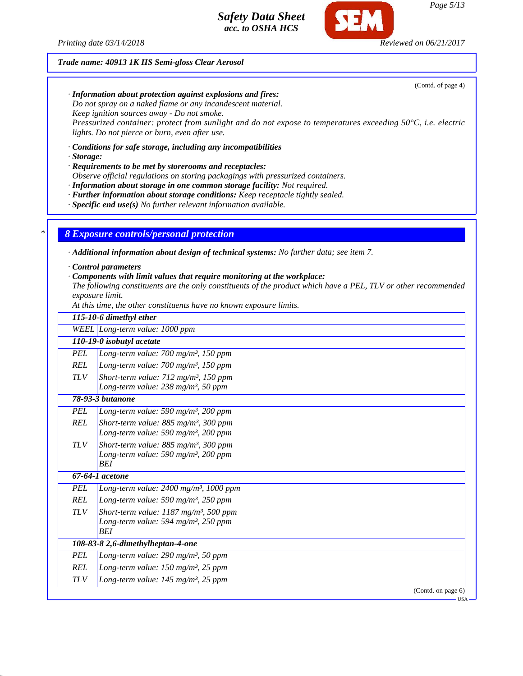*Printing date 03/14/2018 Reviewed on 06/21/2017*

### *Trade name: 40913 1K HS Semi-gloss Clear Aerosol*

(Contd. of page 4)

*· Information about protection against explosions and fires: Do not spray on a naked flame or any incandescent material.*

*Keep ignition sources away - Do not smoke.*

*Pressurized container: protect from sunlight and do not expose to temperatures exceeding 50°C, i.e. electric lights. Do not pierce or burn, even after use.*

*· Conditions for safe storage, including any incompatibilities*

*· Storage:*

*· Requirements to be met by storerooms and receptacles:*

*Observe official regulations on storing packagings with pressurized containers.*

*· Information about storage in one common storage facility: Not required.*

*· Further information about storage conditions: Keep receptacle tightly sealed.*

*· Specific end use(s) No further relevant information available.*

*\* 8 Exposure controls/personal protection*

*· Additional information about design of technical systems: No further data; see item 7.*

*· Control parameters*

*· Components with limit values that require monitoring at the workplace:*

*The following constituents are the only constituents of the product which have a PEL, TLV or other recommended exposure limit.*

*At this time, the other constituents have no known exposure limits.*

|            | 115-10-6 dimethyl ether                                                                                             |
|------------|---------------------------------------------------------------------------------------------------------------------|
|            | WEEL Long-term value: 1000 ppm                                                                                      |
|            | 110-19-0 isobutyl acetate                                                                                           |
| <b>PEL</b> | Long-term value: $700$ mg/m <sup>3</sup> , 150 ppm                                                                  |
| <b>REL</b> | Long-term value: $700$ mg/m <sup>3</sup> , 150 ppm                                                                  |
| <b>TLV</b> | Short-term value: $712$ mg/m <sup>3</sup> , 150 ppm<br>Long-term value: 238 mg/m <sup>3</sup> , 50 ppm              |
|            | 78-93-3 butanone                                                                                                    |
| <b>PEL</b> | Long-term value: 590 mg/m <sup>3</sup> , 200 ppm                                                                    |
| <b>REL</b> | Short-term value: $885$ mg/m <sup>3</sup> , 300 ppm<br>Long-term value: 590 mg/m <sup>3</sup> , 200 ppm             |
| <b>TLV</b> | Short-term value: 885 mg/m <sup>3</sup> , 300 ppm<br>Long-term value: 590 mg/m <sup>3</sup> , 200 ppm<br><b>BEI</b> |
|            | 67-64-1 acetone                                                                                                     |
| <b>PEL</b> | Long-term value: $2400$ mg/m <sup>3</sup> , 1000 ppm                                                                |
| <b>REL</b> | Long-term value: 590 mg/m <sup>3</sup> , 250 ppm                                                                    |
| <b>TLV</b> | Short-term value: $1187 \text{ mg/m}^3$ , 500 ppm<br>Long-term value: 594 mg/m <sup>3</sup> , 250 ppm<br><b>BEI</b> |
|            | 108-83-8 2,6-dimethylheptan-4-one                                                                                   |
| <b>PEL</b> | Long-term value: 290 mg/m <sup>3</sup> , 50 ppm                                                                     |
| <b>REL</b> | Long-term value: $150$ mg/m <sup>3</sup> , 25 ppm                                                                   |
| <b>TLV</b> | Long-term value: $145$ mg/m <sup>3</sup> , 25 ppm                                                                   |
|            | $\overline{(Contd. on page 6)}$                                                                                     |
|            | •USA                                                                                                                |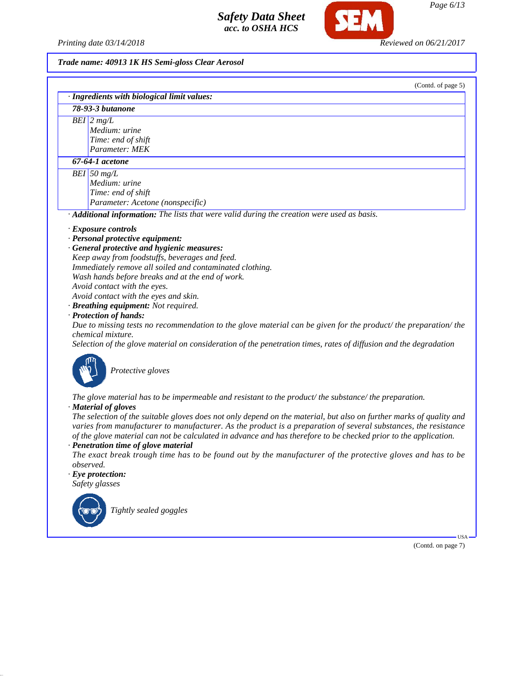*Printing date 03/14/2018 Reviewed on 06/21/2017*

SEM

# *Trade name: 40913 1K HS Semi-gloss Clear Aerosol*

|           | (Contd. of page 5)                                                                                                                                                                                                                                                                                                                                                                                                                                                                                                                                                                                                                                                                               |
|-----------|--------------------------------------------------------------------------------------------------------------------------------------------------------------------------------------------------------------------------------------------------------------------------------------------------------------------------------------------------------------------------------------------------------------------------------------------------------------------------------------------------------------------------------------------------------------------------------------------------------------------------------------------------------------------------------------------------|
|           | · Ingredients with biological limit values:                                                                                                                                                                                                                                                                                                                                                                                                                                                                                                                                                                                                                                                      |
|           | 78-93-3 butanone                                                                                                                                                                                                                                                                                                                                                                                                                                                                                                                                                                                                                                                                                 |
|           | $BEI$ 2 mg/L<br>Medium: urine<br>Time: end of shift<br>Parameter: MEK                                                                                                                                                                                                                                                                                                                                                                                                                                                                                                                                                                                                                            |
|           | 67-64-1 acetone                                                                                                                                                                                                                                                                                                                                                                                                                                                                                                                                                                                                                                                                                  |
|           | BEI 50 $mg/L$<br>Medium: urine<br>Time: end of shift<br>Parameter: Acetone (nonspecific)                                                                                                                                                                                                                                                                                                                                                                                                                                                                                                                                                                                                         |
|           | · Additional information: The lists that were valid during the creation were used as basis.                                                                                                                                                                                                                                                                                                                                                                                                                                                                                                                                                                                                      |
|           | $\cdot$ Exposure controls<br>· Personal protective equipment:<br>· General protective and hygienic measures:<br>Keep away from foodstuffs, beverages and feed.<br>Immediately remove all soiled and contaminated clothing.<br>Wash hands before breaks and at the end of work.<br>Avoid contact with the eyes.<br>Avoid contact with the eyes and skin.<br>· Breathing equipment: Not required.<br>· Protection of hands:<br>Due to missing tests no recommendation to the glove material can be given for the product/the preparation/the<br><i>chemical mixture.</i><br>Selection of the glove material on consideration of the penetration times, rates of diffusion and the degradation      |
| observed. | Protective gloves<br>The glove material has to be impermeable and resistant to the product/the substance/the preparation.<br>· Material of gloves<br>The selection of the suitable gloves does not only depend on the material, but also on further marks of quality and<br>varies from manufacturer to manufacturer. As the product is a preparation of several substances, the resistance<br>of the glove material can not be calculated in advance and has therefore to be checked prior to the application.<br>· Penetration time of glove material<br>The exact break trough time has to be found out by the manufacturer of the protective gloves and has to be<br>$\cdot$ Eye protection: |

*Safety glasses*



*Tightly sealed goggles*

(Contd. on page 7)

USA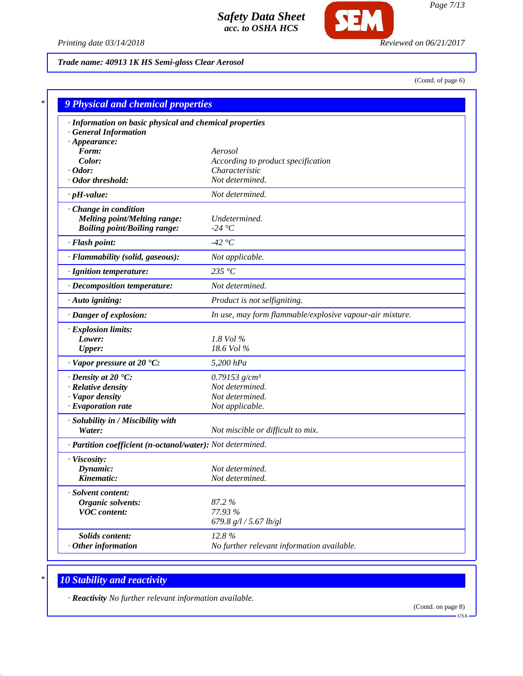

*Printing date 03/14/2018 Reviewed on 06/21/2017*

*Trade name: 40913 1K HS Semi-gloss Clear Aerosol*

(Contd. of page 6)

| · Information on basic physical and chemical properties    |                                                          |
|------------------------------------------------------------|----------------------------------------------------------|
| <b>General Information</b>                                 |                                                          |
| $\cdot$ Appearance:                                        |                                                          |
| Form:                                                      | Aerosol                                                  |
| Color:<br>$\cdot$ Odor:                                    | According to product specification<br>Characteristic     |
| · Odor threshold:                                          | Not determined.                                          |
| $\cdot$ pH-value:                                          | Not determined.                                          |
| Change in condition                                        |                                                          |
| <b>Melting point/Melting range:</b>                        | Undetermined.                                            |
| <b>Boiling point/Boiling range:</b>                        | -24 °C                                                   |
| · Flash point:                                             | -42 °C                                                   |
| · Flammability (solid, gaseous):                           | Not applicable.                                          |
| · Ignition temperature:                                    | 235 °C                                                   |
| · Decomposition temperature:                               | Not determined.                                          |
| · Auto igniting:                                           | Product is not selfigniting.                             |
| · Danger of explosion:                                     | In use, may form flammable/explosive vapour-air mixture. |
| · Explosion limits:                                        |                                                          |
| Lower:                                                     | 1.8 Vol %                                                |
| <b>Upper:</b>                                              | 18.6 Vol %                                               |
| $\cdot$ Vapor pressure at 20 $\textdegree$ C:              | 5,200 hPa                                                |
| $\cdot$ Density at 20 $\textdegree$ C:                     | 0.79153 $g/cm^3$                                         |
| · Relative density                                         | Not determined.                                          |
| · Vapor density                                            | Not determined.                                          |
| · Evaporation rate                                         | Not applicable.                                          |
| · Solubility in / Miscibility with                         |                                                          |
| Water:                                                     | Not miscible or difficult to mix.                        |
| · Partition coefficient (n-octanol/water): Not determined. |                                                          |
| · Viscosity:                                               |                                                          |
| Dynamic:                                                   | Not determined.                                          |
| Kinematic:                                                 | Not determined.                                          |
| · Solvent content:                                         |                                                          |
| Organic solvents:                                          | 87.2%                                                    |
| <b>VOC</b> content:                                        | 77.93 %                                                  |
|                                                            | 679.8 $g/l / 5.67$ lb/gl                                 |
| Solids content:                                            | 12.8%                                                    |
| $·$ Other information                                      | No further relevant information available.               |

# *\* 10 Stability and reactivity*

*· Reactivity No further relevant information available.*

(Contd. on page 8)  $-USA -$ 

*Page 7/13*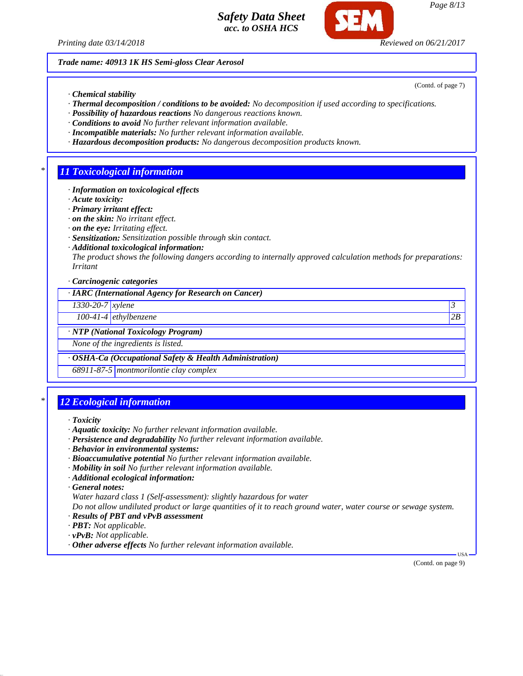

*Page 8/13*

*Trade name: 40913 1K HS Semi-gloss Clear Aerosol*

*· Chemical stability*

- *· Thermal decomposition / conditions to be avoided: No decomposition if used according to specifications.*
- *· Possibility of hazardous reactions No dangerous reactions known.*
- *· Conditions to avoid No further relevant information available.*
- *· Incompatible materials: No further relevant information available.*
- *· Hazardous decomposition products: No dangerous decomposition products known.*

### *\* 11 Toxicological information*

- *· Information on toxicological effects*
- *· Acute toxicity:*
- *· Primary irritant effect:*
- *· on the skin: No irritant effect.*
- *· on the eye: Irritating effect.*
- *· Sensitization: Sensitization possible through skin contact.*
- *· Additional toxicological information:*

*The product shows the following dangers according to internally approved calculation methods for preparations: Irritant*

*· Carcinogenic categories*

*· IARC (International Agency for Research on Cancer)*

*1330-20-7 xylene 3* 

*100-41-4 ethylbenzene 2B*

*· NTP (National Toxicology Program)*

*None of the ingredients is listed.*

#### *· OSHA-Ca (Occupational Safety & Health Administration)*

*68911-87-5 montmorilontie clay complex*

## *\* 12 Ecological information*

- *· Aquatic toxicity: No further relevant information available.*
- *· Persistence and degradability No further relevant information available.*
- *· Behavior in environmental systems:*
- *· Bioaccumulative potential No further relevant information available.*
- *· Mobility in soil No further relevant information available.*
- *· Additional ecological information:*
- *· General notes:*

*Water hazard class 1 (Self-assessment): slightly hazardous for water*

*Do not allow undiluted product or large quantities of it to reach ground water, water course or sewage system.*

- *· Results of PBT and vPvB assessment*
- *· PBT: Not applicable.*
- *· vPvB: Not applicable.*
- *· Other adverse effects No further relevant information available.*

 USA (Contd. on page 9)

(Contd. of page 7)

*<sup>·</sup> Toxicity*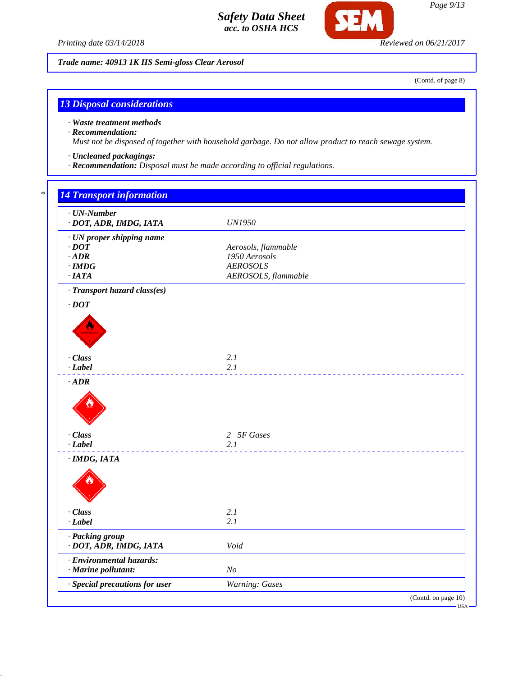

**SEM** 

*Trade name: 40913 1K HS Semi-gloss Clear Aerosol*

(Contd. of page 8)

### *13 Disposal considerations*

*· Waste treatment methods*

#### *· Recommendation:*

*Must not be disposed of together with household garbage. Do not allow product to reach sewage system.*

- *· Uncleaned packagings:*
- *· Recommendation: Disposal must be made according to official regulations.*

# *\* 14 Transport information*

| <b>UN1950</b>                          |
|----------------------------------------|
| Aerosols, flammable<br>1950 Aerosols   |
| <b>AEROSOLS</b><br>AEROSOLS, flammable |
|                                        |
|                                        |
| 2.1                                    |
| 2.1                                    |
|                                        |
| 2 5F Gases<br>2.1                      |
|                                        |
| 2.1                                    |
| 2.1                                    |
| Void                                   |
| N <sub>O</sub>                         |
| Warning: Gases                         |
| (Contd. on page 10)<br>$-$ USA -       |
|                                        |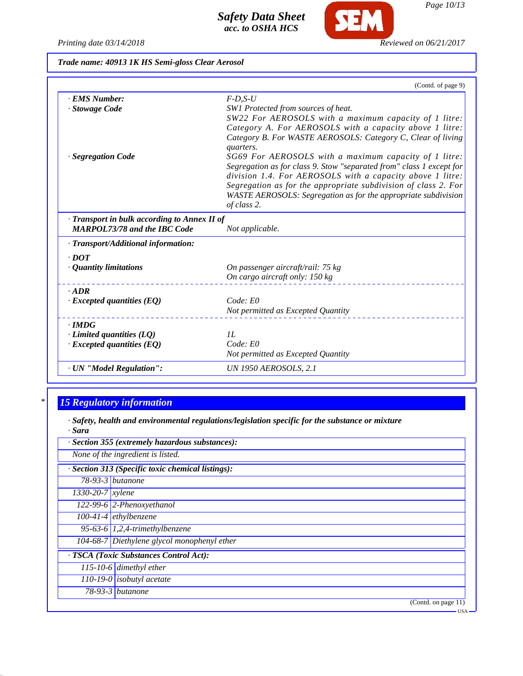*Printing date 03/14/2018 Reviewed on 06/21/2017*

**SEM** 

*Trade name: 40913 1K HS Semi-gloss Clear Aerosol*

|                                            | (Contd. of page 9)                                                       |
|--------------------------------------------|--------------------------------------------------------------------------|
| · EMS Number:                              | $F$ -D,S-U                                                               |
| · Stowage Code                             | SW1 Protected from sources of heat.                                      |
|                                            | SW22 For AEROSOLS with a maximum capacity of 1 litre:                    |
|                                            | Category A. For AEROSOLS with a capacity above 1 litre:                  |
|                                            | Category B. For WASTE AEROSOLS: Category C, Clear of living<br>quarters. |
| · Segregation Code                         | SG69 For AEROSOLS with a maximum capacity of 1 litre:                    |
|                                            | Segregation as for class 9. Stow "separated from" class 1 except for     |
|                                            | division 1.4. For AEROSOLS with a capacity above 1 litre:                |
|                                            | Segregation as for the appropriate subdivision of class 2. For           |
|                                            | WASTE AEROSOLS: Segregation as for the appropriate subdivision           |
|                                            | of class 2.                                                              |
| Transport in bulk according to Annex II of |                                                                          |
| <b>MARPOL73/78 and the IBC Code</b>        | Not applicable.                                                          |
| · Transport/Additional information:        |                                                                          |
| $\cdot$ DOT                                |                                                                          |
| · Quantity limitations                     | On passenger aircraft/rail: 75 kg                                        |
|                                            | On cargo aircraft only: 150 kg                                           |
| $-ADR$                                     |                                                                          |
| $\cdot$ Excepted quantities (EQ)           | Code: E0                                                                 |
|                                            | Not permitted as Excepted Quantity                                       |
| $\cdot$ IMDG                               |                                                                          |
| $\cdot$ Limited quantities (LQ)            | IL                                                                       |
| $\cdot$ Excepted quantities (EQ)           | Code: E0                                                                 |
|                                            | Not permitted as Excepted Quantity                                       |
| · UN "Model Regulation":                   | <b>UN 1950 AEROSOLS, 2.1</b>                                             |

# *\* 15 Regulatory information*

*· Safety, health and environmental regulations/legislation specific for the substance or mixture · Sara*

|                  | · Section 355 (extremely hazardous substances):   |
|------------------|---------------------------------------------------|
|                  | None of the ingredient is listed.                 |
|                  | · Section 313 (Specific toxic chemical listings): |
|                  | $78-93-3$ butanone                                |
| 1330-20-7 xylene |                                                   |
|                  | $122-99-6$ 2-Phenoxyethanol                       |
|                  | $100-41-4$ ethylbenzene                           |
|                  | $\overline{95-63-6}$ 1,2,4-trimethylbenzene       |
|                  | 104-68-7 Diethylene glycol monophenyl ether       |
|                  | · TSCA (Toxic Substances Control Act):            |
|                  | 115-10-6 dimethyl ether                           |
|                  | 110-19-0 isobutyl acetate                         |
|                  | $78-93-3$ butanone                                |
|                  | (Contd. on page $11$ )                            |

USA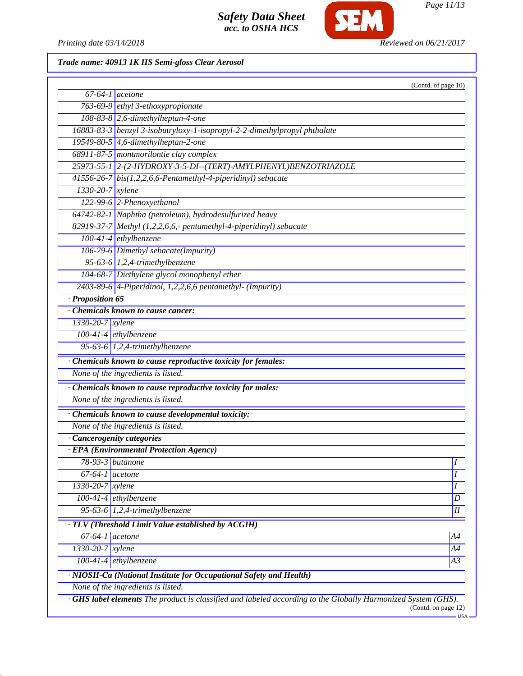

*Page 11/13*

Printing date 03/14/2018 **Reviewed on 06/21/2017** 

# *Trade name: 40913 1K HS Semi-gloss Clear Aerosol*

|                    | $\overline{67}$ -64-1 acetone                                             | (Contd. of page 10) |
|--------------------|---------------------------------------------------------------------------|---------------------|
|                    | 763-69-9 ethyl 3-ethoxypropionate                                         |                     |
|                    | $108-83-8$ 2,6-dimethylheptan-4-one                                       |                     |
|                    | 16883-83-3 benzyl 3-isobutryloxy-1-isopropyl-2-2-dimethylpropyl phthalate |                     |
|                    | 19549-80-5 4,6-dimethylheptan-2-one                                       |                     |
|                    | 68911-87-5 montmorilontie clay complex                                    |                     |
|                    | 25973-55-1 2-(2-HYDROXY-3-5-DI--(TERT)-AMYLPHENYL)BENZOTRIAZOLE           |                     |
|                    | 41556-26-7 bis(1,2,2,6,6-Pentamethyl-4-piperidinyl) sebacate              |                     |
| $1330-20-7$ xylene |                                                                           |                     |
|                    | 122-99-6 2-Phenoxyethanol                                                 |                     |
|                    | 64742-82-1 Naphtha (petroleum), hydrodesulfurized heavy                   |                     |
|                    | 82919-37-7 Methyl (1,2,2,6,6,- pentamethyl-4-piperidinyl) sebacate        |                     |
|                    | $100-41-4$ ethylbenzene                                                   |                     |
|                    | 106-79-6 Dimethyl sebacate(Impurity)                                      |                     |
|                    | 95-63-6 $1,2,4$ -trimethylbenzene                                         |                     |
|                    | 104-68-7 Diethylene glycol monophenyl ether                               |                     |
|                    | $2403-89-6$ 4-Piperidinol, 1,2,2,6,6 pentamethyl- (Impurity)              |                     |
| · Proposition 65   |                                                                           |                     |
|                    | Chemicals known to cause cancer:                                          |                     |
| 1330-20-7 xylene   |                                                                           |                     |
|                    | $100-41-4$ ethylbenzene                                                   |                     |
|                    | 95-63-6 $1,2,4$ -trimethylbenzene                                         |                     |
|                    |                                                                           |                     |
|                    | · Chemicals known to cause reproductive toxicity for females:             |                     |
|                    | None of the ingredients is listed.                                        |                     |
|                    | · Chemicals known to cause reproductive toxicity for males:               |                     |
|                    | None of the ingredients is listed.                                        |                     |
|                    | · Chemicals known to cause developmental toxicity:                        |                     |
|                    | None of the ingredients is listed.                                        |                     |
|                    | · Cancerogenity categories                                                |                     |
|                    | · EPA (Environmental Protection Agency)                                   |                     |
|                    | 78-93-3 butanone                                                          | $\overline{I}$      |
| $67-64-1$ acetone  |                                                                           | Ι                   |
| 1330-20-7 xylene   |                                                                           | I                   |
|                    | $100-41-4$ ethylbenzene                                                   | $\overline{D}$      |
|                    | 95-63-6 $1,2,4$ -trimethylbenzene                                         | $I\hspace{-.1em}I$  |
|                    | · TLV (Threshold Limit Value established by ACGIH)                        |                     |
|                    |                                                                           |                     |
|                    |                                                                           |                     |
| $67-64-1$ acetone  |                                                                           | A4                  |
| $1330-20-7$ xylene | $100-41-4$ ethylbenzene                                                   | A4<br>A3            |

(Contd. on page 12)

 $-<sub>USA</sub>$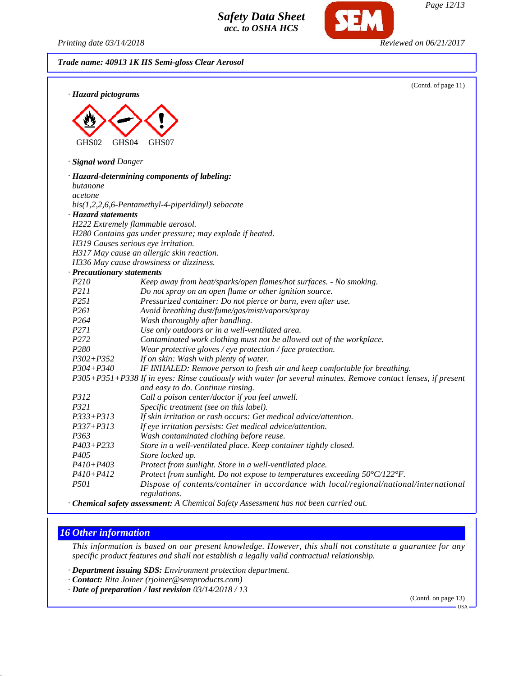*Printing date 03/14/2018 Reviewed on 06/21/2017*

*Page 12/13*

|                                | (Contd. of page 11)                                                                                                                                |
|--------------------------------|----------------------------------------------------------------------------------------------------------------------------------------------------|
| · Hazard pictograms            |                                                                                                                                                    |
|                                |                                                                                                                                                    |
|                                |                                                                                                                                                    |
|                                |                                                                                                                                                    |
| GHS04<br>GHS02                 | GHS07                                                                                                                                              |
| · Signal word Danger           |                                                                                                                                                    |
|                                | · Hazard-determining components of labeling:                                                                                                       |
| butanone                       |                                                                                                                                                    |
| acetone                        |                                                                                                                                                    |
|                                | $bis(1,2,2,6,6\text{-}Pentamethyl-4-piperidinyl)$ sebacate                                                                                         |
| · Hazard statements            |                                                                                                                                                    |
|                                | H222 Extremely flammable aerosol.                                                                                                                  |
|                                | H280 Contains gas under pressure; may explode if heated.                                                                                           |
|                                | H319 Causes serious eye irritation.                                                                                                                |
|                                | H317 May cause an allergic skin reaction.                                                                                                          |
|                                | H336 May cause drowsiness or dizziness.                                                                                                            |
| · Precautionary statements     |                                                                                                                                                    |
| P210                           | Keep away from heat/sparks/open flames/hot surfaces. - No smoking.                                                                                 |
| P211                           | Do not spray on an open flame or other ignition source.                                                                                            |
| P251                           | Pressurized container: Do not pierce or burn, even after use.                                                                                      |
| P261                           | Avoid breathing dust/fume/gas/mist/vapors/spray                                                                                                    |
| P <sub>264</sub>               | Wash thoroughly after handling.                                                                                                                    |
| P271                           | Use only outdoors or in a well-ventilated area.                                                                                                    |
| P <sub>272</sub>               | Contaminated work clothing must not be allowed out of the workplace.                                                                               |
| P <sub>280</sub>               | Wear protective gloves / eye protection / face protection.                                                                                         |
| $P302 + P352$                  | If on skin: Wash with plenty of water.                                                                                                             |
| $P304 + P340$                  | IF INHALED: Remove person to fresh air and keep comfortable for breathing.                                                                         |
|                                | P305+P351+P338 If in eyes: Rinse cautiously with water for several minutes. Remove contact lenses, if present<br>and easy to do. Continue rinsing. |
| P312                           | Call a poison center/doctor if you feel unwell.                                                                                                    |
| P321                           | Specific treatment (see on this label).                                                                                                            |
| $P333 + P313$                  | If skin irritation or rash occurs: Get medical advice/attention.                                                                                   |
| P337+P313                      | If eye irritation persists: Get medical advice/attention.                                                                                          |
| P <sub>363</sub>               | Wash contaminated clothing before reuse.                                                                                                           |
| P403+P233                      | Store in a well-ventilated place. Keep container tightly closed.                                                                                   |
| P <sub>405</sub>               | Store locked up.                                                                                                                                   |
|                                |                                                                                                                                                    |
|                                |                                                                                                                                                    |
| $P410 + P403$<br>$P410 + P412$ | Protect from sunlight. Store in a well-ventilated place.<br>Protect from sunlight. Do not expose to temperatures exceeding 50°C/122°F.             |

*· Chemical safety assessment: A Chemical Safety Assessment has not been carried out.*

### *16 Other information*

*This information is based on our present knowledge. However, this shall not constitute a guarantee for any specific product features and shall not establish a legally valid contractual relationship.*

*· Department issuing SDS: Environment protection department.*

*· Contact: Rita Joiner (rjoiner@semproducts.com)*

*· Date of preparation / last revision 03/14/2018 / 13*

(Contd. on page 13)